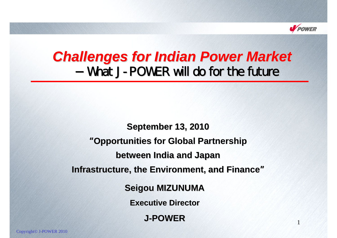

# **Challenges for Indian Power Market** What J-POWER will do for the future

**Seigou MIZUNUMA Executive Director September September 13, 2010 "Opportunities for Global Partnership between India and Japan between India and Japan Infrastructure, the Environment, and Finance"** 

**J-POWER**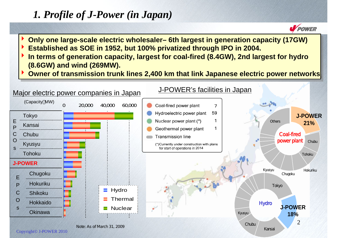## *1. Profile of J-Power (in Japan)*

 $\blacktriangleright$ 

- **POWER Only one large-scale electric wholesaler– 6th largest in generation capacity (17GW) Only one large-scale electric wholesaler– 6th largest in generation capacity (17GW)**
- **Established as SOE in 1952, but 100% privatized through IPO in 2004. Established as SOE in 1952, but 100% privatized through IPO in 2004.**  $\blacktriangleright$
- **If all arms of generation capacity, largest for coal-fired (8.4GW), 2nd largest for hydro (8.6GW) and wind (269MW). (8.6GW) and wind (269MW).**  $\blacktriangleright$
- **Owner of transmission trunk lines 2,400 km that link Japanese electric power networks Owner of transmission trunk lines 2,400 km that link Japanese electric power networks**  $\blacktriangleright$

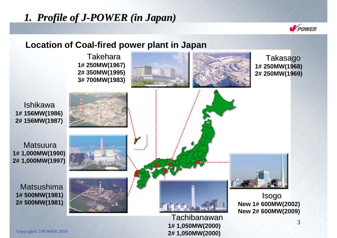## *1. Profile of J-POWER (in Japan)*



#### **Location of Coal-fired power plant in Japan**

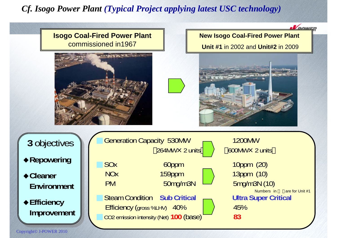#### *Cf. Isogo Power Plant (Typical Project applying latest USC technology)*

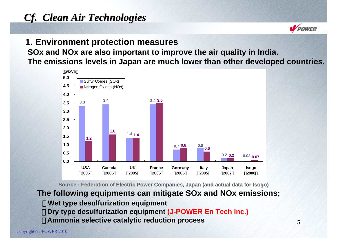## *Cf. Clean Air Technologies Cf. Clean Air Technologies*

#### **1. Environment protection measures SOx and NOx are also important to improve the air quality in India. The emissions levels in Japan are much lower than other developed countries.**



**Source : Source : Federation of Electric Federation of Electric Power Companies, Japan (and actual data Power Companies, Japan (and actual data for Isogo) for Isogo)**

**The following equipments can mitigate SOx and NOx emissions; Wet type desulfurization equipment Dry type desulfurization equipment (J-POWER En Tech Inc.) Ammonia selective catalytic reduction process**

**V** POWER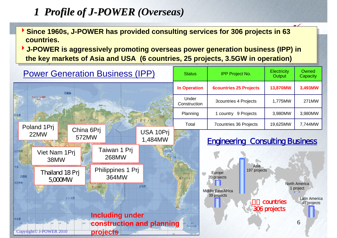## *1 Profile of J-POWER (Overseas)*

- Since 1960s, J-POWER has provided consulting services for 306 projects in 63 **countries.countries.**
- <sup>4</sup>**J-POWER is aggressively promoting overseas power generation business (IPP) in**  <sup>4</sup>**J-POWER is aggressively promoting overseas power generation business (IPP) in the key markets of Asia and USA (6 countries, 25 projects, 3.5GW in operation) the key markets of Asia and USA (6 countries, 25 projects, 3.5GW in operation)**

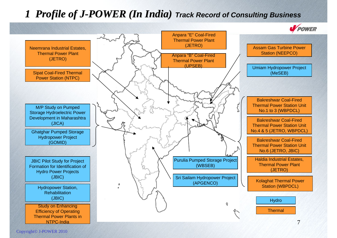### *1 Profile of J-POWER (In India) Track Record of Consulting Business*

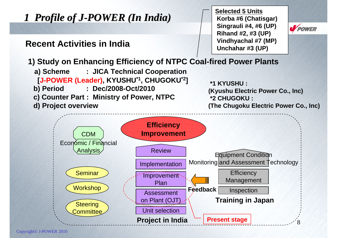

Copyright© J-POWER 2010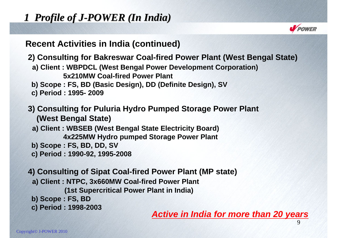## *1 Profile of J-POWER (In India)*



#### **Recent Activities in India (continued)**

**2) Consulting for Bakreswar Coal-fired Power Plant (West Bengal State)**

- **a) Client : WBPDCL (West Bengal Power Development Corporation) 5x210MW Coal-fired Power Plant**
- **b) Scope : FS, BD (Basic Design), DD (Definite Design), SV**
- **c) Period : 1995- 2009**

#### **3) Consulting for Puluria Hydro Pumped Storage Power Plant (West Bengal State)**

- **a) Client : WBSEB (West Bengal State Electricity Board) 4x225MW Hydro pumped Storage Power Plant**
- **b) Scope : FS, BD, DD, SV**
- **c) Period : 1990-92, 1995-2008**
- **4) Consulting of Sipat Coal-fired Power Plant (MP state)**
	- **a) Client : NTPC, 3x660MW Coal-fired Power Plant**

**(1st Supercritical Power Plant in India)**

- **b) Scope : FS, BD**
- 

c) Period : 1998-2003<br>Active in India for more than 20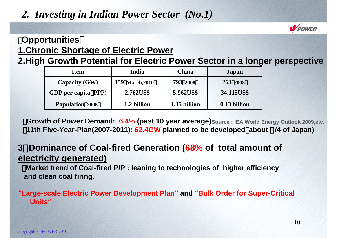## *2. Investing in Indian Power Sector (No.1)*



## 【**Opportunities**】 **1.Chronic Shortage of Electric Power**

**2.High Growth Potential for Electric Power Sector in a longer perspective**

| <b>Item</b>                | India           | <b>China</b> | <b>Japan</b> |
|----------------------------|-----------------|--------------|--------------|
| <b>Capacity (GW)</b>       | 159 March, 2010 | 793 2008     | 263 2008     |
| <b>GDP</b> per capita PPP) | 2,762US\$       | 5,962US\$    | 34,115US\$   |
| <b>Population 2008</b>     | 1.2 billion     | 1.35 billion | 0.13 billion |

**Growth of Power Demand: 6.4% (past 10 year average)** Source : IEA World Energy Outlook 2009, etc. ・**11th Five-Year-Plan(2007-2011): 62.4GW planned to be developed**(**about** 1**/4 of Japan)**

### **3**.**Dominance of Coal-fired Generation (68% of total amount of electricity generated)**

・**Market trend of Coal-fired P/P : leaning to technologies of higher efficiency and clean coal firing.**

#### "**Large-scale Electric Power Development Plan**" **and** "**Bulk Order for Super-Critical Units**"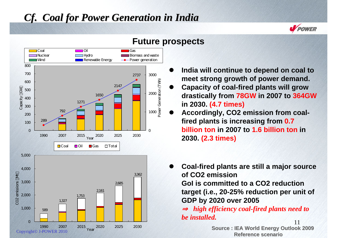### *Cf. Coal for Power Generation in India Cf. Coal for Power Generation in India*



#### **Future prospects**

 $\bullet$  **India will continue to depend on coal to meet strong growth of power demand.**

**V** POWER

- $\bullet$  **Capacity of coal-fired plants will grow drastically from 78GW in 2007 to 364GW in 2030. (4.7 times)**
- $\bullet$  **Accordingly, CO2 emission from coalfired plants is increasing from 0.7 billion ton in 2007 to 1.6 billion ton in 2030. (2.3 times)**
- $\bullet$  **Coal-fired plants are still a major source of CO2 emission GoI is committed to a CO2 reduction target (i.e., 20-25% reduction per unit of GDP by 2020 over 2005**

11 *high efficiency coal-fired plants need to be installed.*

**Source : Source : IEA World Energy Outlook 2009 IEA World Energy Outlook 2009 Reference scenario**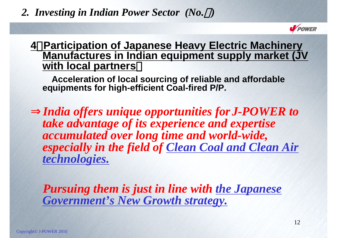### *2. Investing in Indian Power Sector (No.*2*)*



### **4**.**Participation of Japanese Heavy Electric Machinery Manufactures in Indian equipment supply market (JV with local partners**)

**Acceleration of local sourcing of reliable and affordable equipments for high-efficient Coal-fired P/P.** 

*India offers unique opportunities forJ-POWER to take advantage of its experience and expertise accumulated over long time and world-wide, especially in the field of Clean Coal and Clean Air technologies.*

*Pursuing them is just in line with the Japanese Government's New Growth strategy.*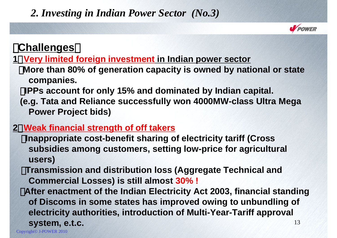### *2. Investing in Indian Power Sector (No.3)*



## 【**Challenges**】

**1**.**Very limited foreign investment in Indian power sector**

・**More than 80% of generation capacity is owned by national or state companies.** 

・**IPPs account for only 15% and dominated by Indian capital.** 

**(e.g. Tata and Reliance successfully won 4000MW-class Ultra Mega Power Project bids)**

### **2**.**Weak financial strength of off takers**

・**Inappropriate cost-benefit sharing of electricity tariff (Cross subsidies among customers, setting low-price for agricultural users)**

**Transmission and distribution loss (Aggregate Technical and Commercial Losses) is still almost 30% !**

13・**After enactment of the Indian Electricity Act 2003, financial standing of Discoms in some states has improved owing to unbundling of electricity authorities, introduction of Multi-Year-Tariff approval system, e.t.c.**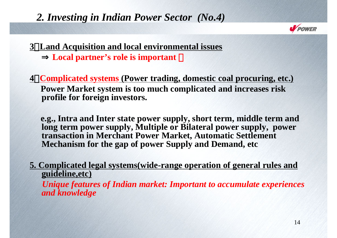### *2. Investing in Indian Power Sector (No.4)*



#### **3**.**Land Acquisition and local environmental issues** Local partner's role is important

**4**.**Complicated systems (Power trading, domestic coal procuring, etc.) Power Market system is too much complicated and increases risk profile for foreign investors.**

**e.g., Intra and Inter state power supply, short term, middle term and long term power supply, Multiple or Bilateral power supply, power transaction in Merchant Power Market, Automatic Settlement Mechanism for the gap of power Supply and Demand, etc**

**5. Complicated legal systems(wide-range operation of general rules and guideline,etc)**

*Unique features of Indian market: Important to accumulate experiences and knowledge*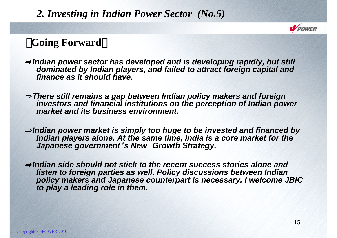### *2. Investing in Indian Power Sector (No.5)*



### **Going Forward**

<sup>⇒</sup>*Indian power sector has developed and is developing rapidly, but still dominated by Indian players, and failed to attract foreign capital and finance as it should have.*

<sup>⇒</sup>*There still remains a gap between Indian policy makers and foreign investors and financial institutions on the perception of Indian power market and its business environment.*

Indian power market is simply too huge to be invested and financed by *Indian players alone. At the same time, India is a core market for the Japanese government*'*s New Growth Strategy.* 

<sup>⇒</sup>*Indian side should not stick to the recent success stories alone and listen to foreign parties as well. Policy discussions between Indian policy makers and Japanese counterpart is necessary. I welcome JBIC to play a leading role in them.*